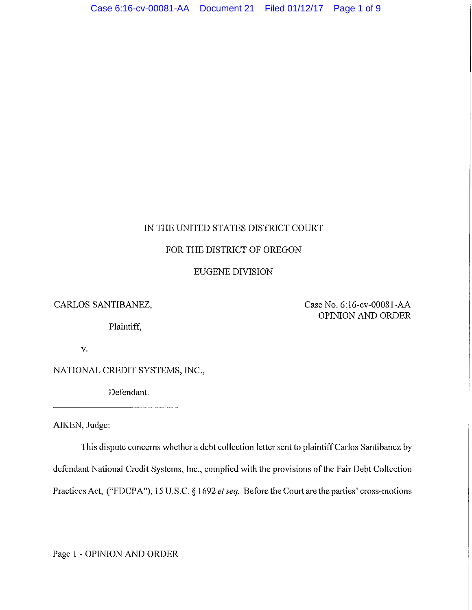# IN THE UNITED STATES DISTRICT COURT

## FOR THE DISTRICT OF OREGON

# EUGENE DIVISION

CARLOS SANTIBANEZ,

Plaintiff,

Case No. 6:16-cv-00081-AA OPINION AND ORDER

v.

NATIONAL CREDIT SYSTEMS, INC.,

Defendant.

AIKEN, Judge:

This dispute concerns whether a debt collection letter sent to plaintiff Carlos Santibanez by defendant National Credit Systems, Inc., complied with the provisions of the Fair Debt Collection Practices Act, ("FDCPA"), 15 U.S.C. § 1692 *et seq.* Before the Comt arethe parties' cross-motions

Page 1 - OPINION AND ORDER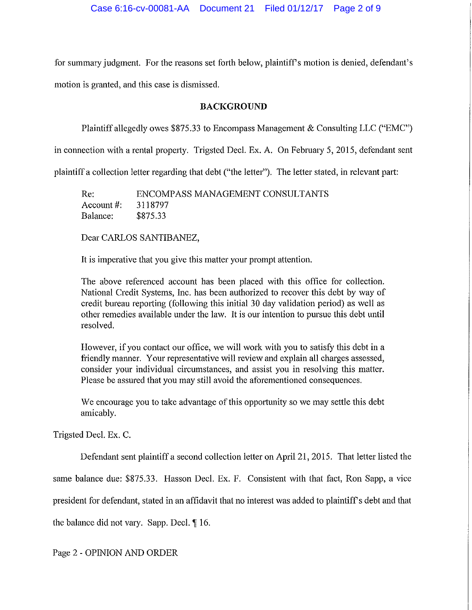for summary judgment. For the reasons set forth below, plaintiff's motion is denied, defendant's motion is granted, and this case is dismissed.

### **BACKGROUND**

Plaintiff allegedly owes \$875.33 to Encompass Management & Consulting LLC ("EMC")

in connection with a rental property. Trigsted Decl. Ex. A. On February 5, 2015, defendant sent

plaintiff a collection letter regarding that debt ("the letter"). The letter stated, in relevant part:

Re: ENCOMPASS MANAGEMENT CONSULTANTS Acconnt #: 3118797 Balance: \$875.33

Dear CARLOS SANTIBANEZ,

It is imperative that you give this matter your prompt attention.

The above referenced account has been placed with this office for collection. National Credit Systems, Inc. has been authorized to recover this debt by way of credit bureau reporting (following this initial 30 day validation period) as well as other remedies available under the law. It is our intention to pursue this debt until resolved.

However, if you contact our office, we will work with you to satisfy this debt in a friendly manner. Your representative will review and explain all charges assessed, consider your individual circumstances, and assist you in resolving this matter. Please be assured that you may still avoid the aforementioned consequences.

We encourage you to take advantage of this opportunity so we may settle this debt amicably.

Trigsted Deel. Ex. C.

Defendant sent plaintiff a second collection letter on April 21, 2015. That letter listed the

same balance due: \$875.33. Hasson Deel. Ex. F. Consistent with that fact, Ron Sapp, a vice

president for defendant, stated in an affidavit that no interest was added to plaintiffs debt and that

the balance did not vary. Sapp. Decl.  $\P$  16.

Page 2 - OPINION AND ORDER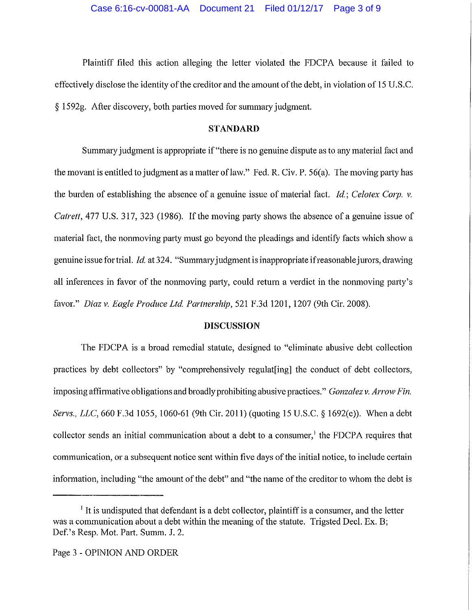Plaintiff filed this action alleging the letter violated the FDCPA because it failed to effectively disclose the identity of the creditor and the amount of the debt, in violation of 15 U.S.C. § 1592g. After discovery, both patties moved for summary judgment.

### **STANDARD**

Summary judgment is appropriate if "there is no genuine dispute as to any material fact and the movant is entitled to judgment as a matter of law." Fed. R. Civ. P. 56(a). The moving party has the burden of establishing the absence of a genuine issue of material fact. *Id; Celotex Corp. v. Catrett*, 477 U.S. 317, 323 (1986). If the moving party shows the absence of a genuine issue of material fact, the nonmoving party must go beyond the pleadings and identify facts which show a genuine issue for trial. *Id* at 324. "Summary judgment is inappropriate ifreasonable jurors, drawing all inferences in favor of the nonmoving party, could return a verdict in the nonmoving patty's favor." *Diaz v. Eagle Produce Ltd. Partnership,* 521F.3d1201, 1207 (9th Cir. 2008).

#### **DISCUSSION**

The FDCPA is a broad remedial statute, designed to "eliminate abusive debt collection practices by debt collectors" by "comprehensively regulat[ing] the conduct of debt collectors, imposing affirmative obligations and broadly prohibiting abusive practices." *Gonzalez v. Arrow Fin. Servs., LLC,* 660 F.3d 1055, 1060-61 (9th Cir. 2011) (quoting 15 U.S.C. § 1692(e)). When a debt collector sends an initial communication about a debt to a consumer,<sup>1</sup> the FDCPA requires that communication, or a subsequent notice sent within five days of the initial notice, to include certain information, including "the amount of the debt" and "the name of the creditor to whom the debt is

 $<sup>1</sup>$  It is undisputed that defendant is a debt collector, plaintiff is a consumer, and the letter</sup> was a communication about a debt within the meaning of the statute. Trigsted Deel. Ex. B; Def.'s Resp. Mot. Part. Summ. J. 2.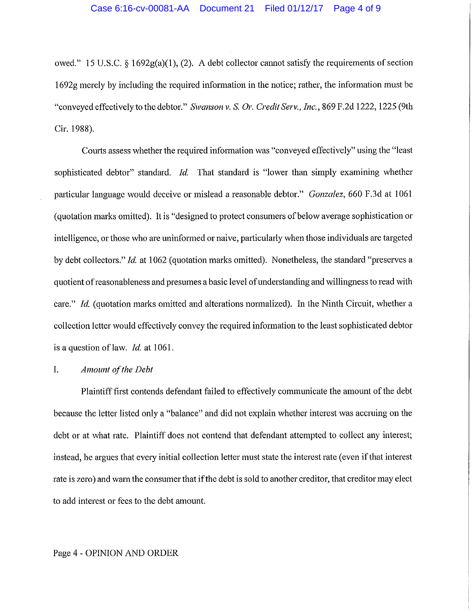owed." 15 U.S.C. § 1692 $g(a)(1)$ , (2). A debt collector cannot satisfy the requirements of section 1692g merely by including the required information in the notice; rather, the information must be "conveyed effectively to the debtor." *Swanson* v. S. *Or. Credit Serv., Inc.,* 869 F.2d 1222, 1225 (9th Cir. 1988).

Courts assess whether the required information was "conveyed effectively" using the "least sophisticated debtor" standard. *Id.* That standard is "lower than simply examining whether particular language would deceive or mislead a reasonable debtor." *Gonzalez,* 660 F.3d at 1061 (quotation marks omitted). It is "designed to protect consumers of below average sophistication or intelligence, or those who are uninformed or naive, particularly when those individuals are targeted by debt collectors." *Id.* at 1062 (quotation marks omitted). Nonetheless, the standard "preserves a quotient of reasonableness and presumes a basic level of understanding and willingness to read with care." *Id.* (quotation marks omitted and alterations normalized). In the Ninth Circuit, whether a collection letter would effectively convey the required information to the least sophisticated debtor is a question of law. *Id.* at 1061.

## I. *Amount of the Debt*

Plaintiff first contends defendant failed to effectively communicate the amount of the debt because the letter listed only a "balance" and did not explain whether interest was accruing on the debt or at what rate. Plaintiff does not contend that defendant attempted to collect any interest; instead, he argues that every initial collection letter must state the interest rate (even if that interest rate is zero) and warn the consumer that if the debt is sold to another creditor, that creditor may elect to add interest or fees to the debt amount.

#### Page 4 - OPINION AND ORDER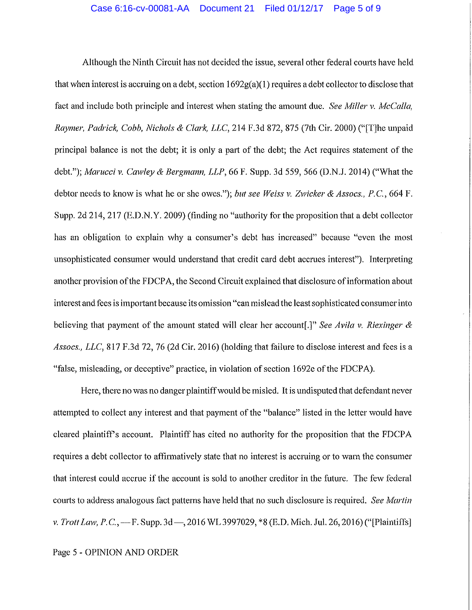Although the Ninth Circuit has not decided the issue, several other federal courts have held that when interest is accruing on a debt, section  $1692g(a)(1)$  requires a debt collector to disclose that fact and include both principle and interest when stating the amount due. *See Miller v. McCalla*, *Raymer, Padrick, Cobb, Nichols* & *Clark, LLC,* 214 F.3d 872, 875 (7th Cir. 2000) ("[T]he unpaid principal balance is not the debt; it is only a part of the debt; the Act requires statement of the debt."); *Marucci v. Cawley* & *Bergmann, LLP,* 66 F. Supp. 3d 559, 566 (D.N.J. 2014) ("What the debtor needs to know is what he or she owes."); *but see Weiss v. Zwicker* & *Assocs., P.C.,* 664 F. Supp. 2d 214, 217 (E.D.N.Y. 2009) (finding no "authority for the proposition that a debt collector has an obligation to explain why a consumer's debt has increased" because "even the most unsophisticated consumer would understand that credit card debt accrnes interest"). Interpreting another provision of the FDCPA, the Second Circuit explained that disclosure of information about interest and fees is important because its omission "can mislead the least sophisticated consumer into believing that payment of the amount stated will clear her account[.]" *See Avila v. Riexinger* & *Assocs., LLC,* 817 F .3d 72, 76 (2d Cir. 2016) (holding that failure to disclose interest and fees is a "false, misleading, or deceptive" practice, in violation of section l 692e of the FDCP A).

Here, there no was no danger plaintiff would be misled. It is undisputed that defendant never attempted to collect any interest and that payment of the "balance" listed in the letter would have cleared plaintiffs account. Plaintiff has cited no authority for the proposition that the FDCPA requires a debt collector to affirmatively state that no interest is accruing or to warn the consumer that interest could accrue if the account is sold to another creditor in the future. The few federal courts to address analogous fact patterns have held that no such disclosure is required. *See Martin v. Trott Law, P.C.,*-F. Supp. 3d-, 2016 WL 3997029, \*8 (E.D. Mich. Jul. 26, 2016) ("[Plaintiffs]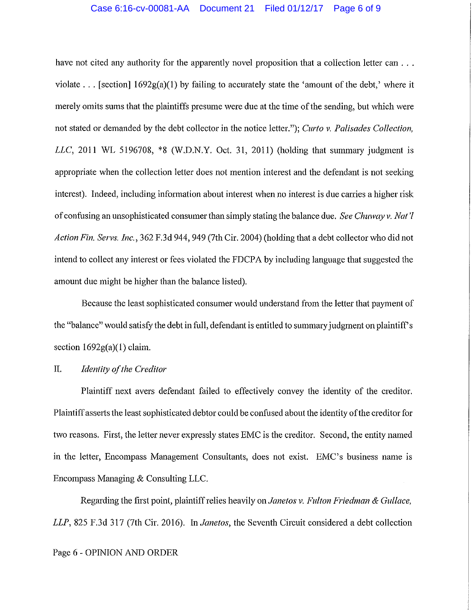#### Case 6:16-cv-00081-AA Document 21 Filed 01/12/17 Page 6 of 9

have not cited any authority for the apparently novel proposition that a collection letter can ... violate ... [section]  $1692g(a)(1)$  by failing to accurately state the 'amount of the debt,' where it merely omits sums that the plaintiffs presume were due at the time of the sending, but which were not stated or demanded by the debt collector in the notice letter."); *Curto v. Palisades Collection, LLC,* 2011 WL 5196708, \*8 (W.D.N.Y. Oct. 31, 2011) (holding that summary judgment is appropriate when the collection letter does not mention interest and the defendant is not seeking interest). Indeed, including information about interest when no interest is due carries a higher risk of confusing an unsophisticated consumer than simply stating the balance due. *See Chuway v. Nat'! Action Fin. Servs. Inc.,* 362 F.3d 944, 949 (7th Cir. 2004) (holding that a debt collector who did not intend to collect any interest or fees violated the FDCPA by including language that suggested the amount due might be higher than the balance listed).

Because the least sophisticated consumer would understand from the letter that payment of the "balance" would satisfy the debt in full, defendant is entitled to summary judgment on plaintiff's section  $1692g(a)(1)$  claim.

## II. *Identity of the Creditor*

Plaintiff next avers defendant failed to effectively convey the identity of the creditor. Plaintiff asserts the least sophisticated debtor could be confused about the identity of the creditor for two reasons. First, the letter never expressly states EMC is the creditor. Second, the entity named in the letter, Encompass Management Consultants, does not exist. EMC's business name is Encompass Managing & Consulting LLC.

Regarding the first point, plaintiff relies heavily on *Janetos v. Fulton Friedman* & *Gullace, LLP,* 825 F.3d 317 (7th Cir. 2016). In *Janetos,* the Seventh Circuit considered a debt collection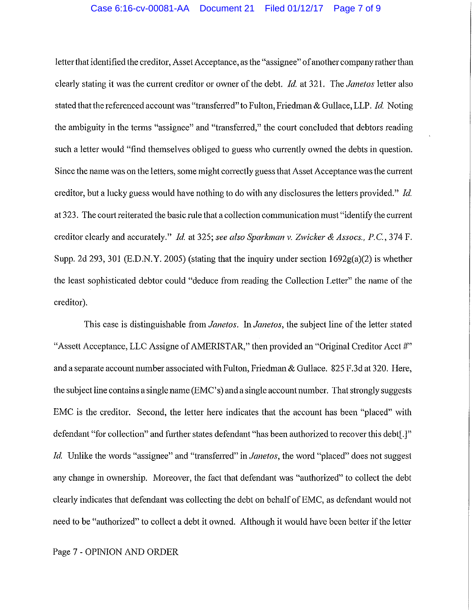letter that identified the creditor, Asset Acceptance, as the "assignee" of another company rather than clearly stating it was the current creditor or owner of the debt. *Id.* at 321. The *Janetos* Jetter also stated that the referenced account was "transferred" to Fulton, Friedman & Gullace, LLP. *Id.* Noting the ambiguity in the terms "assignee" and "transferred," the court concluded that debtors reading such a letter would "find themselves obliged to guess who currently owned the debts in question. Since the name was on the letters, some might correctly guess that Asset Acceptance was the current creditor, but a lucky guess would have nothing to do with any disclosures the letters provided." *Id.*  at 323. The court reiterated the basic rule that a collection communication must "identify the cunent creditor clearly and accurately." *Id.* at 325; *see also Sparkman* v. *Zwicker* & *Assocs., P.C.,* 374 F. Supp. 2d 293, 301 (E.D.N.Y. 2005) (stating that the inquiry under section 1692g(a)(2) is whether the least sophisticated debtor could "deduce from reading the Collection Letter" the name of the creditor).

This case is distinguishable *fromJanetos. InJanetos,* the subject line of the letter stated "Assett Acceptance, LLC Assigne of AMERISTAR," then provided an "Original Creditor Acct #" and a separate account number associated with Fulton, Friedman & Gullace. 825 F .3d at 320. Here, the subject line contains a single name (EMC's) and a single account number. That strongly suggests EMC is the creditor. Second, the letter here indicates that the account has been "placed" with defendant "for collection" and further states defendant "has been authorized to recover this debt[.]" *Id.* Unlike the words "assignee" and "transferred" in *Janetos,* the word "placed" does not suggest any change in ownership. Moreover, the fact that defendant was "authorized" to collect the debt clearly indicates that defendant was collecting the debt on behalf of EMC, as defendant would not need to be "authorized" to collect a debt it owned. Although it would have been better if the letter

Page 7 - OPINION AND ORDER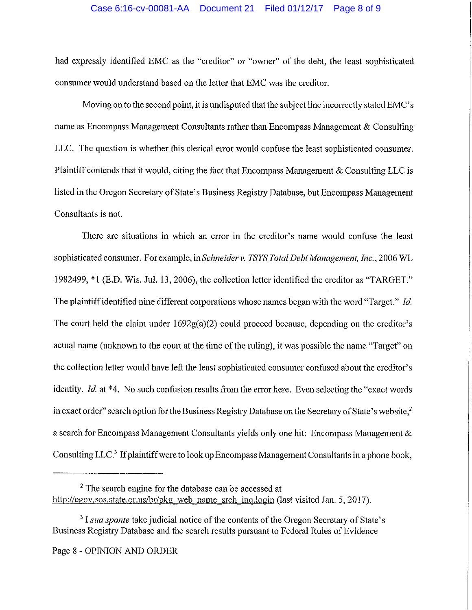## Case 6:16-cv-00081-AA Document 21 Filed 01/12/17 Page 8 of 9

had expressly identified EMC as the "creditor" or "owner" of the debt, the least sophisticated consumer would understand based on the letter that EMC was the creditor.

Moving on to the second point, it is undisputed that the subject line incorrectly stated EMC's name as Encompass Management Consultants rather than Encompass Management & Consulting LLC. The question is whether this clerical error would confuse the least sophisticated consumer. Plaintiff contends that it would, citing the fact that Encompass Management & Consulting LLC is listed in the Oregon Secretary of State's Business Registry Database, but Encompass Management Consultants is not.

There are situations in which an error in the creditor's name would confuse the least sophisticated consumer. For example, in *Schneider v. TSYS Total Debt Management, Inc.*, 2006 WL 1982499, \*1 (E.D. Wis. Jul. 13, 2006), the collection letter identified the creditor as "TARGET." The plaintiff identified nine different corporations whose names began with the word "Target." *Id.*  The court held the claim under  $1692g(a)(2)$  could proceed because, depending on the creditor's actual name (unknown to the court at the time of the ruling), it was possible the name "Target" on the collection letter would have left the least sophisticated consumer confused about the creditor's identity. *Id.* at \*4. No such confusion results from the error here. Even selecting the "exact words" in exact order" search option for the Business Registry Database on the Secretary of State's website,<sup>2</sup> a search for Encompass Management Consultants yields only one hit: Encompass Management & Consulting LLC.<sup>3</sup> If plaintiff were to look up Encompass Management Consultants in a phone book,

<sup>&</sup>lt;sup>2</sup> The search engine for the database can be accessed at http://egov.sos.state.or.us/br/pkg web name srch inq.login (last visited Jan. 5, 2017).

<sup>&</sup>lt;sup>3</sup> I *sua sponte* take judicial notice of the contents of the Oregon Secretary of State's Business Registry Database and the search results pursuant to Federal Rules of Evidence